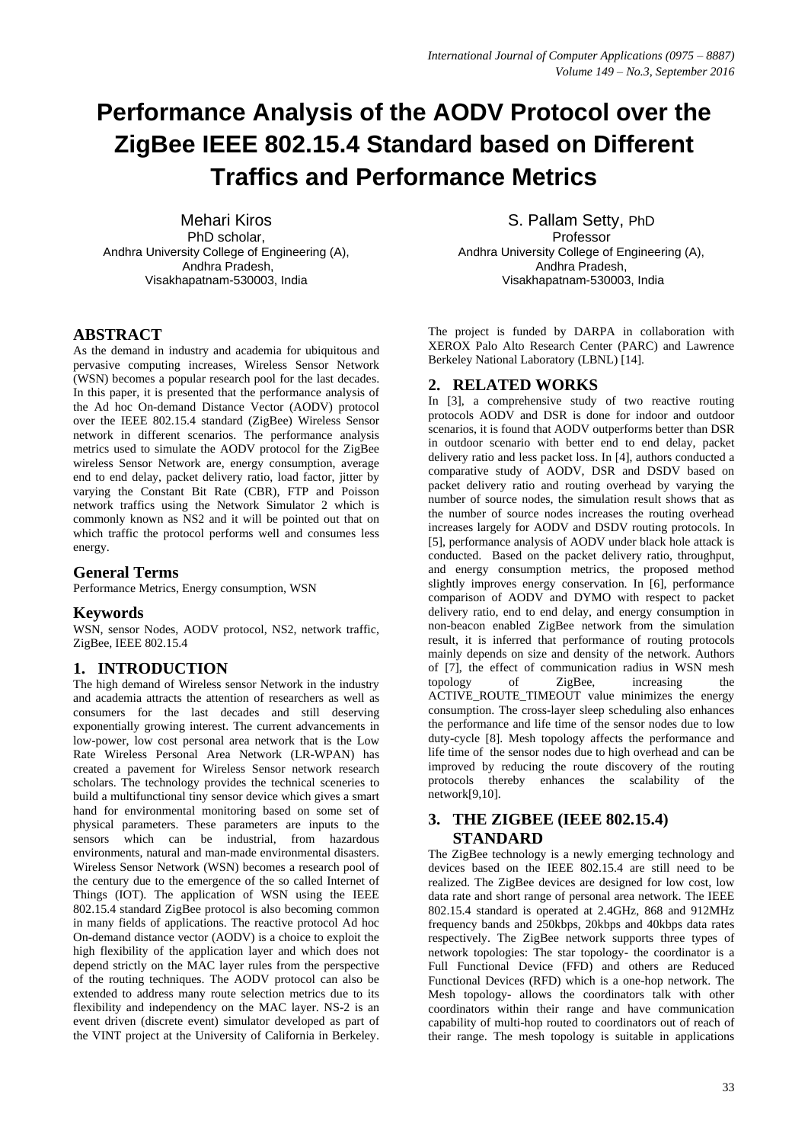# **Performance Analysis of the AODV Protocol over the ZigBee IEEE 802.15.4 Standard based on Different Traffics and Performance Metrics**

Mehari Kiros PhD scholar, Andhra University College of Engineering (A), Andhra Pradesh, Visakhapatnam-530003, India

## **ABSTRACT**

As the demand in industry and academia for ubiquitous and pervasive computing increases, Wireless Sensor Network (WSN) becomes a popular research pool for the last decades. In this paper, it is presented that the performance analysis of the Ad hoc On-demand Distance Vector (AODV) protocol over the IEEE 802.15.4 standard (ZigBee) Wireless Sensor network in different scenarios. The performance analysis metrics used to simulate the AODV protocol for the ZigBee wireless Sensor Network are, energy consumption, average end to end delay, packet delivery ratio, load factor, jitter by varying the Constant Bit Rate (CBR), FTP and Poisson network traffics using the Network Simulator 2 which is commonly known as NS2 and it will be pointed out that on which traffic the protocol performs well and consumes less energy.

#### **General Terms**

Performance Metrics, Energy consumption, WSN

#### **Keywords**

WSN, sensor Nodes, AODV protocol, NS2, network traffic, ZigBee, IEEE 802.15.4

### **1. INTRODUCTION**

The high demand of Wireless sensor Network in the industry and academia attracts the attention of researchers as well as consumers for the last decades and still deserving exponentially growing interest. The current advancements in low-power, low cost personal area network that is the Low Rate Wireless Personal Area Network (LR-WPAN) has created a pavement for Wireless Sensor network research scholars. The technology provides the technical sceneries to build a multifunctional tiny sensor device which gives a smart hand for environmental monitoring based on some set of physical parameters. These parameters are inputs to the sensors which can be industrial, from hazardous environments, natural and man-made environmental disasters. Wireless Sensor Network (WSN) becomes a research pool of the century due to the emergence of the so called Internet of Things (IOT). The application of WSN using the IEEE 802.15.4 standard ZigBee protocol is also becoming common in many fields of applications. The reactive protocol Ad hoc On-demand distance vector (AODV) is a choice to exploit the high flexibility of the application layer and which does not depend strictly on the MAC layer rules from the perspective of the routing techniques. The AODV protocol can also be extended to address many route selection metrics due to its flexibility and independency on the MAC layer. NS-2 is an event driven (discrete event) simulator developed as part of the VINT project at the University of California in Berkeley.

S. Pallam Setty, PhD Professor Andhra University College of Engineering (A), Andhra Pradesh, Visakhapatnam-530003, India

The project is funded by DARPA in collaboration with XEROX Palo Alto Research Center (PARC) and Lawrence Berkeley National Laboratory (LBNL) [14].

## **2. RELATED WORKS**

In [3], a comprehensive study of two reactive routing protocols AODV and DSR is done for indoor and outdoor scenarios, it is found that AODV outperforms better than DSR in outdoor scenario with better end to end delay, packet delivery ratio and less packet loss. In [4], authors conducted a comparative study of AODV, DSR and DSDV based on packet delivery ratio and routing overhead by varying the number of source nodes, the simulation result shows that as the number of source nodes increases the routing overhead increases largely for AODV and DSDV routing protocols. In [5], performance analysis of AODV under black hole attack is conducted. Based on the packet delivery ratio, throughput, and energy consumption metrics, the proposed method slightly improves energy conservation. In [6], performance comparison of AODV and DYMO with respect to packet delivery ratio, end to end delay, and energy consumption in non-beacon enabled ZigBee network from the simulation result, it is inferred that performance of routing protocols mainly depends on size and density of the network. Authors of [7], the effect of communication radius in WSN mesh topology of ZigBee, increasing the ACTIVE ROUTE TIMEOUT value minimizes the energy consumption. The cross-layer sleep scheduling also enhances the performance and life time of the sensor nodes due to low duty-cycle [8]. Mesh topology affects the performance and life time of the sensor nodes due to high overhead and can be improved by reducing the route discovery of the routing protocols thereby enhances the scalability of the network[9,10].

## **3. THE ZIGBEE (IEEE 802.15.4) STANDARD**

The ZigBee technology is a newly emerging technology and devices based on the IEEE 802.15.4 are still need to be realized. The ZigBee devices are designed for low cost, low data rate and short range of personal area network. The IEEE 802.15.4 standard is operated at 2.4GHz, 868 and 912MHz frequency bands and 250kbps, 20kbps and 40kbps data rates respectively. The ZigBee network supports three types of network topologies: The star topology- the coordinator is a Full Functional Device (FFD) and others are Reduced Functional Devices (RFD) which is a one-hop network. The Mesh topology- allows the coordinators talk with other coordinators within their range and have communication capability of multi-hop routed to coordinators out of reach of their range. The mesh topology is suitable in applications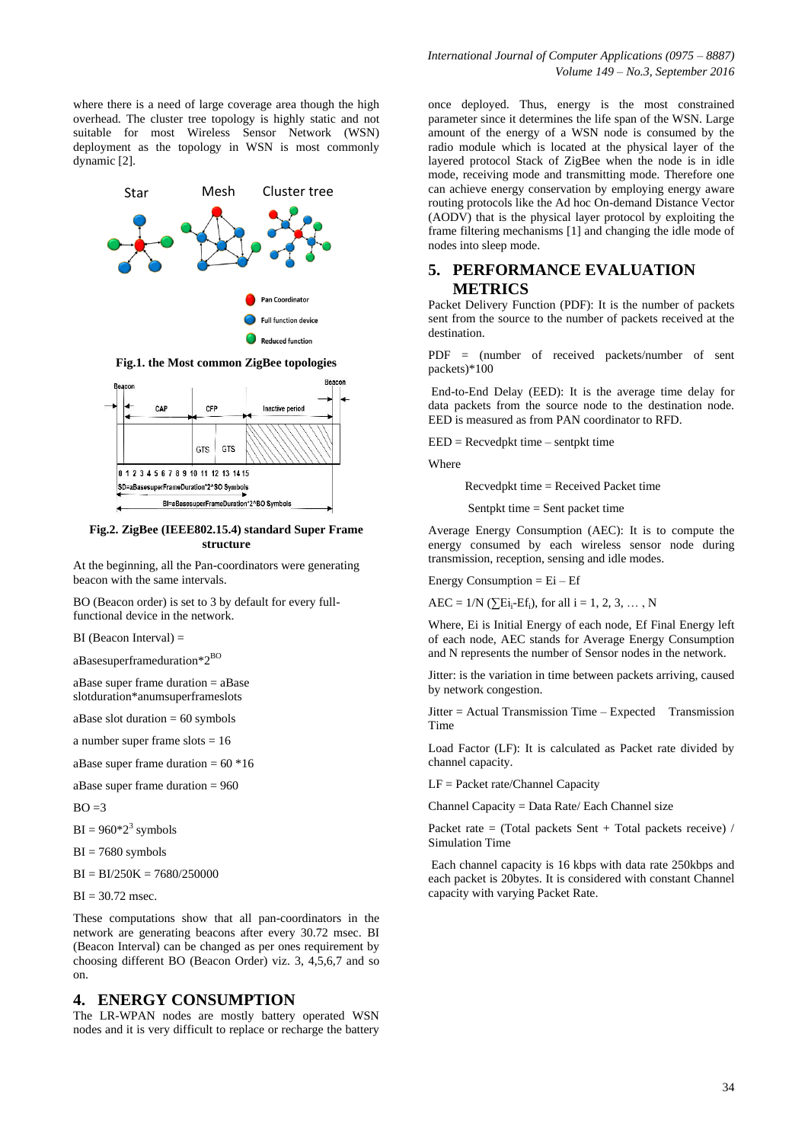where there is a need of large coverage area though the high overhead. The cluster tree topology is highly static and not suitable for most Wireless Sensor Network (WSN) deployment as the topology in WSN is most commonly dynamic [2].



**Fig.1. the Most common ZigBee topologies**



**Fig.2. ZigBee (IEEE802.15.4) standard Super Frame structure**

At the beginning, all the Pan-coordinators were generating beacon with the same intervals.

BO (Beacon order) is set to 3 by default for every fullfunctional device in the network.

 $BI$  (Beacon Interval)  $=$ 

aBasesuperframeduration\*2BO

aBase super frame duration = aBase slotduration\*anumsuperframeslots

aBase slot duration  $= 60$  symbols

a number super frame slots = 16

aBase super frame duration  $= 60 * 16$ 

aBase super frame duration = 960

 $BO = 3$ 

 $BI = 960*2<sup>3</sup>$  symbols

 $BI = 7680$  symbols

 $BI = BI/250K = 7680/250000$ 

 $BI = 30.72$  msec.

These computations show that all pan-coordinators in the network are generating beacons after every 30.72 msec. BI (Beacon Interval) can be changed as per ones requirement by choosing different BO (Beacon Order) viz. 3, 4,5,6,7 and so on.

#### **4. ENERGY CONSUMPTION**

The LR-WPAN nodes are mostly battery operated WSN nodes and it is very difficult to replace or recharge the battery once deployed. Thus, energy is the most constrained parameter since it determines the life span of the WSN. Large amount of the energy of a WSN node is consumed by the radio module which is located at the physical layer of the layered protocol Stack of ZigBee when the node is in idle mode, receiving mode and transmitting mode. Therefore one can achieve energy conservation by employing energy aware routing protocols like the Ad hoc On-demand Distance Vector (AODV) that is the physical layer protocol by exploiting the frame filtering mechanisms [1] and changing the idle mode of nodes into sleep mode.

## **5. PERFORMANCE EVALUATION METRICS**

Packet Delivery Function (PDF): It is the number of packets sent from the source to the number of packets received at the destination.

PDF = (number of received packets/number of sent packets)\*100

End-to-End Delay (EED): It is the average time delay for data packets from the source node to the destination node. EED is measured as from PAN coordinator to RFD.

 $EED = Recvedpkt time - sentpkt time$ 

Where

Recvedpkt time = Received Packet time

Sentpkt time = Sent packet time

Average Energy Consumption (AEC): It is to compute the energy consumed by each wireless sensor node during transmission, reception, sensing and idle modes.

Energy Consumption  $=$  Ei  $-$  Ef

 $AEC = 1/N$  ( $\sum E i_i - Ef_i$ ), for all  $i = 1, 2, 3, ..., N$ 

Where, Ei is Initial Energy of each node, Ef Final Energy left of each node, AEC stands for Average Energy Consumption and N represents the number of Sensor nodes in the network.

Jitter: is the variation in time between packets arriving, caused by network congestion.

Jitter = Actual Transmission Time – Expected Transmission Time

Load Factor (LF): It is calculated as Packet rate divided by channel capacity.

LF = Packet rate/Channel Capacity

Channel Capacity = Data Rate/ Each Channel size

Packet rate = (Total packets Sent + Total packets receive) / Simulation Time

Each channel capacity is 16 kbps with data rate 250kbps and each packet is 20bytes. It is considered with constant Channel capacity with varying Packet Rate.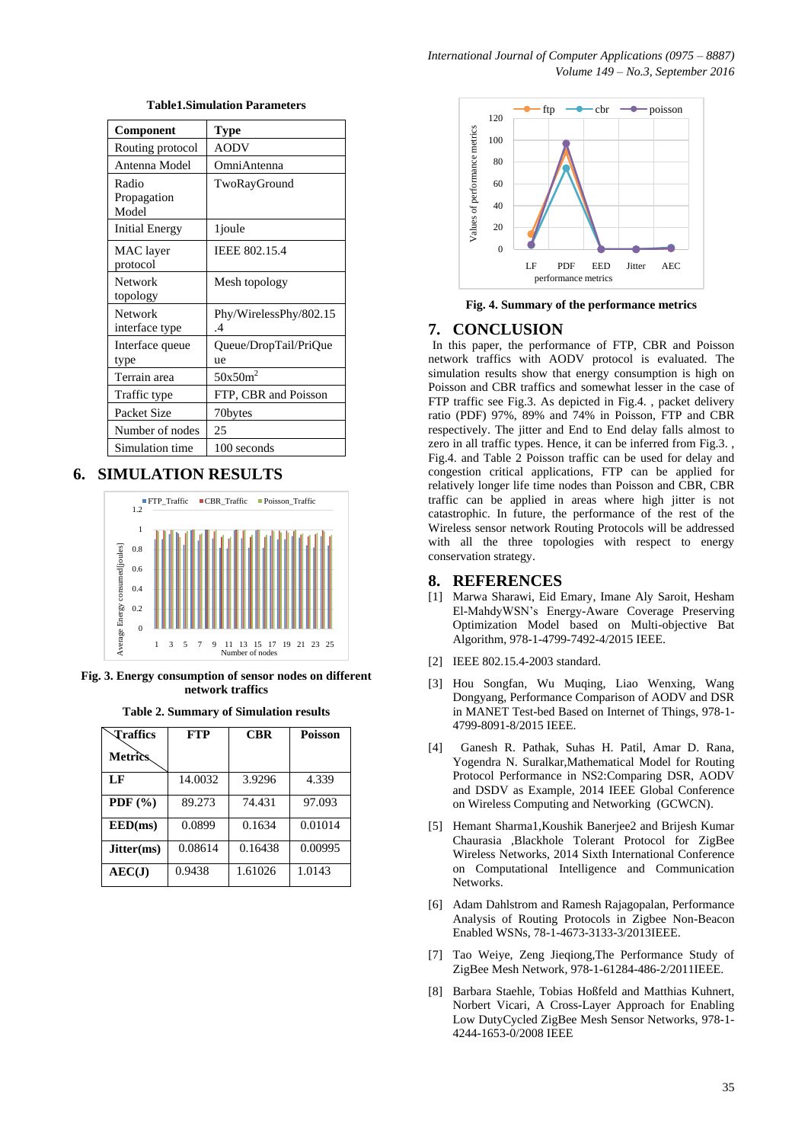| Component                     | Type                         |
|-------------------------------|------------------------------|
| Routing protocol              | AODV                         |
| Antenna Model                 | OmniAntenna                  |
| Radio<br>Propagation<br>Model | TwoRayGround                 |
| Initial Energy                | 1 <i>j</i> oule              |
| MAC layer<br>protocol         | IEEE 802.15.4                |
| Network<br>topology           | Mesh topology                |
| Network<br>interface type     | Phy/WirelessPhy/802.15<br>.4 |
| Interface queue<br>type       | Queue/DropTail/PriQue<br>ue  |
| Terrain area                  | $50x50m^2$                   |
| Traffic type                  | FTP, CBR and Poisson         |
| Packet Size                   | 70bytes                      |
| Number of nodes               | 25                           |
| Simulation time               | 100 seconds                  |

#### **Table1.Simulation Parameters**

# **6. SIMULATION RESULTS**



**Fig. 3. Energy consumption of sensor nodes on different network traffics**

| Traffics       | <b>FTP</b> | <b>CBR</b> | <b>Poisson</b> |
|----------------|------------|------------|----------------|
| <b>Metrics</b> |            |            |                |
| LF             | 14.0032    | 3.9296     | 4.339          |
| PDF $(\% )$    | 89.273     | 74.431     | 97.093         |
| EED(ms)        | 0.0899     | 0.1634     | 0.01014        |
| Jitter(ms)     | 0.08614    | 0.16438    | 0.00995        |
| AEC(J)         | 0.9438     | 1.61026    | 1.0143         |



**Fig. 4. Summary of the performance metrics**

#### **7. CONCLUSION**

In this paper, the performance of FTP, CBR and Poisson network traffics with AODV protocol is evaluated. The simulation results show that energy consumption is high on Poisson and CBR traffics and somewhat lesser in the case of FTP traffic see Fig.3. As depicted in Fig.4. , packet delivery ratio (PDF) 97%, 89% and 74% in Poisson, FTP and CBR respectively. The jitter and End to End delay falls almost to zero in all traffic types. Hence, it can be inferred from Fig.3. , Fig.4. and Table 2 Poisson traffic can be used for delay and congestion critical applications, FTP can be applied for relatively longer life time nodes than Poisson and CBR, CBR traffic can be applied in areas where high jitter is not catastrophic. In future, the performance of the rest of the Wireless sensor network Routing Protocols will be addressed with all the three topologies with respect to energy conservation strategy.

#### **8. REFERENCES**

- [1] Marwa Sharawi, Eid Emary, Imane Aly Saroit, Hesham El-MahdyWSN's Energy-Aware Coverage Preserving Optimization Model based on Multi-objective Bat Algorithm, 978-1-4799-7492-4/2015 IEEE.
- [2] IEEE 802.15.4-2003 standard.
- [3] Hou Songfan, Wu Muqing, Liao Wenxing, Wang Dongyang, Performance Comparison of AODV and DSR in MANET Test-bed Based on Internet of Things, 978-1- 4799-8091-8/2015 IEEE.
- [4] Ganesh R. Pathak, Suhas H. Patil, Amar D. Rana, Yogendra N. Suralkar,Mathematical Model for Routing Protocol Performance in NS2:Comparing DSR, AODV and DSDV as Example, 2014 IEEE Global Conference on Wireless Computing and Networking (GCWCN).
- [5] Hemant Sharma1,Koushik Banerjee2 and Brijesh Kumar Chaurasia ,Blackhole Tolerant Protocol for ZigBee Wireless Networks, 2014 Sixth International Conference on Computational Intelligence and Communication Networks.
- [6] Adam Dahlstrom and Ramesh Rajagopalan, Performance Analysis of Routing Protocols in Zigbee Non-Beacon Enabled WSNs, 78-1-4673-3133-3/2013IEEE.
- [7] Tao Weiye, Zeng Jieqiong,The Performance Study of ZigBee Mesh Network, 978-1-61284-486-2/2011IEEE.
- [8] Barbara Staehle, Tobias Hoßfeld and Matthias Kuhnert, Norbert Vicari, A Cross-Layer Approach for Enabling Low DutyCycled ZigBee Mesh Sensor Networks, 978-1- 4244-1653-0/2008 IEEE